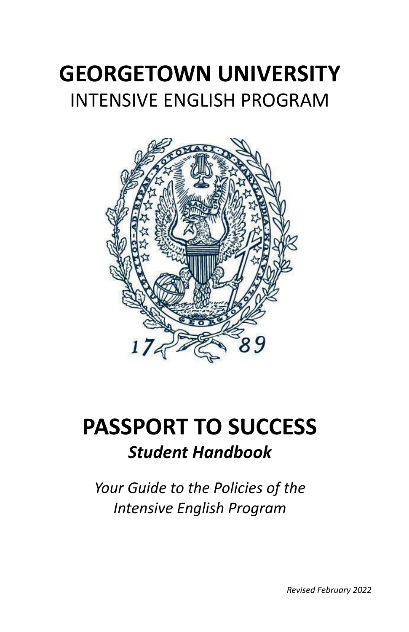# **GEORGETOWN UNIVERSITY** INTENSIVE ENGLISH PROGRAM



# **PASSPORT TO SUCCESS** *Student Handbook*

*Your Guide to the Policies of the Intensive English Program*

*Revised February 2022*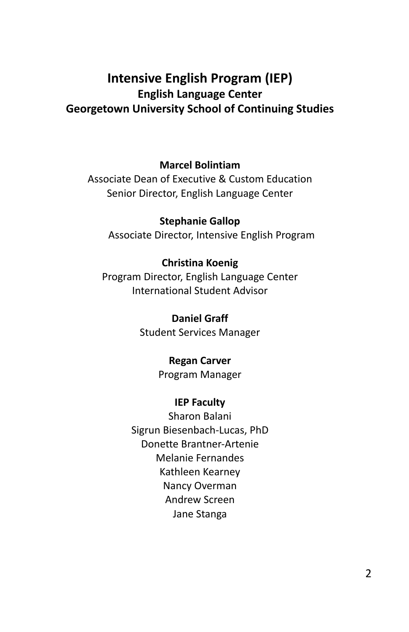## **Intensive English Program (IEP) English Language Center Georgetown University School of Continuing Studies**

#### **Marcel Bolintiam**

Associate Dean of Executive & Custom Education Senior Director, English Language Center

**Stephanie Gallop**

Associate Director, Intensive English Program

#### **Christina Koenig**

Program Director, English Language Center International Student Advisor

> **Daniel Graff** Student Services Manager

#### **Regan Carver**

Program Manager

#### **IEP Faculty**

Sharon Balani Sigrun Biesenbach-Lucas, PhD Donette Brantner-Artenie Melanie Fernandes Kathleen Kearney Nancy Overman Andrew Screen Jane Stanga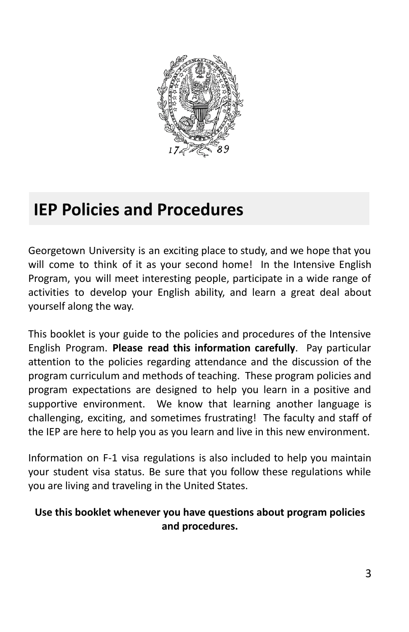

# **IEP Policies and Procedures**

Georgetown University is an exciting place to study, and we hope that you will come to think of it as your second home! In the Intensive English Program, you will meet interesting people, participate in a wide range of activities to develop your English ability, and learn a great deal about yourself along the way.

This booklet is your guide to the policies and procedures of the Intensive English Program. **Please read this information carefully**. Pay particular attention to the policies regarding attendance and the discussion of the program curriculum and methods of teaching. These program policies and program expectations are designed to help you learn in a positive and supportive environment. We know that learning another language is challenging, exciting, and sometimes frustrating! The faculty and staff of the IEP are here to help you as you learn and live in this new environment.

Information on F-1 visa regulations is also included to help you maintain your student visa status. Be sure that you follow these regulations while you are living and traveling in the United States.

## **Use this booklet whenever you have questions about program policies and procedures.**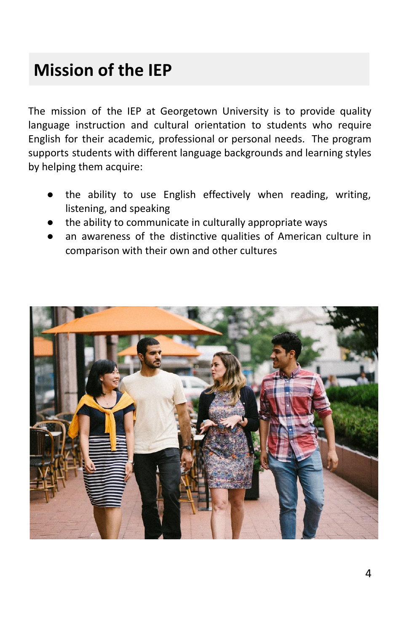# **Mission of the IEP**

The mission of the IEP at Georgetown University is to provide quality language instruction and cultural orientation to students who require English for their academic, professional or personal needs. The program supports students with different language backgrounds and learning styles by helping them acquire:

- the ability to use English effectively when reading, writing, listening, and speaking
- the ability to communicate in culturally appropriate ways
- an awareness of the distinctive qualities of American culture in comparison with their own and other cultures

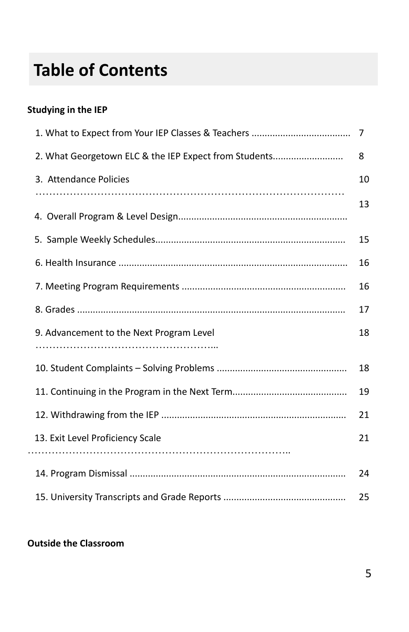# **Table of Contents**

## **Studying in the IEP**

| 2. What Georgetown ELC & the IEP Expect from Students | 8  |
|-------------------------------------------------------|----|
| 3. Attendance Policies                                | 10 |
|                                                       | 13 |
|                                                       |    |
|                                                       | 15 |
|                                                       | 16 |
|                                                       | 16 |
|                                                       | 17 |
| 9. Advancement to the Next Program Level              | 18 |
|                                                       |    |
|                                                       | 18 |
|                                                       | 19 |
|                                                       | 21 |
| 13. Exit Level Proficiency Scale                      | 21 |
|                                                       |    |
|                                                       | 24 |
|                                                       | 25 |

#### **Outside the Classroom**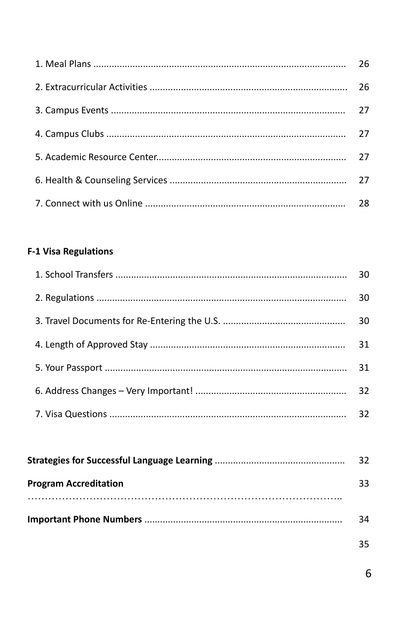| 26 |
|----|
| 26 |
| 27 |
| 27 |
| 27 |
| 27 |
| 28 |

## **F-1 Visa Regulations**

|                              | 30 |
|------------------------------|----|
|                              | 30 |
|                              | 30 |
|                              | 31 |
|                              | 31 |
|                              | 32 |
|                              | 32 |
|                              |    |
|                              | 32 |
| <b>Program Accreditation</b> | 33 |
|                              |    |
|                              |    |

| 34 |
|----|
|    |

35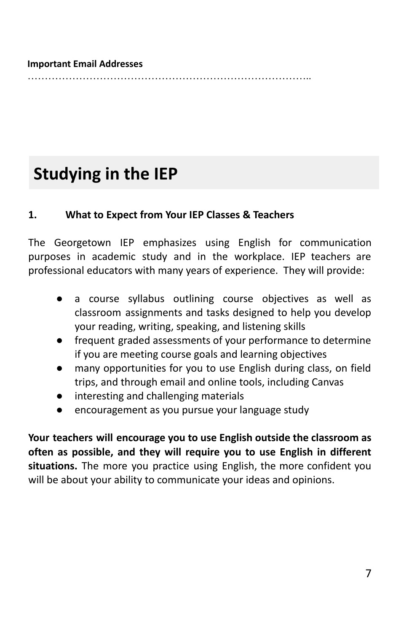#### **Important Email Addresses**

………………………………………………………………………..

## **Studying in the IEP**

#### **1. What to Expect from Your IEP Classes & Teachers**

The Georgetown IEP emphasizes using English for communication purposes in academic study and in the workplace. IEP teachers are professional educators with many years of experience. They will provide:

- a course syllabus outlining course objectives as well as classroom assignments and tasks designed to help you develop your reading, writing, speaking, and listening skills
- frequent graded assessments of your performance to determine if you are meeting course goals and learning objectives
- many opportunities for you to use English during class, on field trips, and through email and online tools, including Canvas
- interesting and challenging materials
- encouragement as you pursue your language study

**Your teachers will encourage you to use English outside the classroom as often as possible, and they will require you to use English in different situations.** The more you practice using English, the more confident you will be about your ability to communicate your ideas and opinions.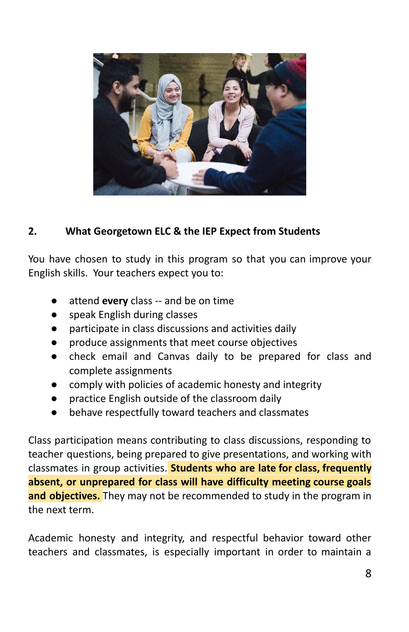

## **2. What Georgetown ELC & the IEP Expect from Students**

You have chosen to study in this program so that you can improve your English skills. Your teachers expect you to:

- attend **every** class -- and be on time
- speak English during classes
- participate in class discussions and activities daily
- produce assignments that meet course objectives
- check email and Canvas daily to be prepared for class and complete assignments
- comply with policies of academic honesty and integrity
- practice English outside of the classroom daily
- behave respectfully toward teachers and classmates

Class participation means contributing to class discussions, responding to teacher questions, being prepared to give presentations, and working with classmates in group activities. **Students who are late for class, frequently absent, or unprepared for class will have difficulty meeting course goals and objectives.** They may not be recommended to study in the program in the next term.

Academic honesty and integrity, and respectful behavior toward other teachers and classmates, is especially important in order to maintain a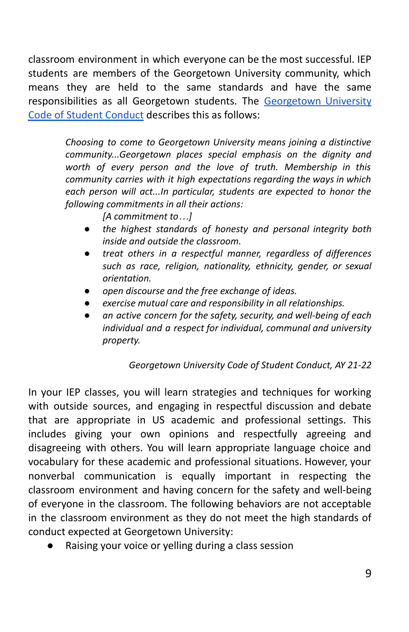classroom environment in which everyone can be the most successful. IEP students are members of the Georgetown University community, which means they are held to the same standards and have the same responsibilities as all Georgetown students. The [Georgetown](https://studentconduct.georgetown.edu/code-of-student-conduct/) University Code of Student [Conduct](https://studentconduct.georgetown.edu/code-of-student-conduct/) describes this as follows:

> *Choosing to come to Georgetown University means joining a distinctive community...Georgetown places special emphasis on the dignity and worth of every person and the love of truth. Membership in this community carries with it high expectations regarding the ways in which each person will act...In particular, students are expected to honor the following commitments in all their actions:*

> > *[A commitment to…]*

- *● the highest standards of honesty and personal integrity both inside and outside the classroom.*
- *● treat others in a respectful manner, regardless of differences such as race, religion, nationality, ethnicity, gender, or sexual orientation.*
- *● open discourse and the free exchange of ideas.*
- *● exercise mutual care and responsibility in all relationships.*
- *● an active concern for the safety, security, and well-being of each individual and a respect for individual, communal and university property.*

#### *Georgetown University Code of Student Conduct, AY 21-22*

In your IEP classes, you will learn strategies and techniques for working with outside sources, and engaging in respectful discussion and debate that are appropriate in US academic and professional settings. This includes giving your own opinions and respectfully agreeing and disagreeing with others. You will learn appropriate language choice and vocabulary for these academic and professional situations. However, your nonverbal communication is equally important in respecting the classroom environment and having concern for the safety and well-being of everyone in the classroom. The following behaviors are not acceptable in the classroom environment as they do not meet the high standards of conduct expected at Georgetown University:

Raising your voice or yelling during a class session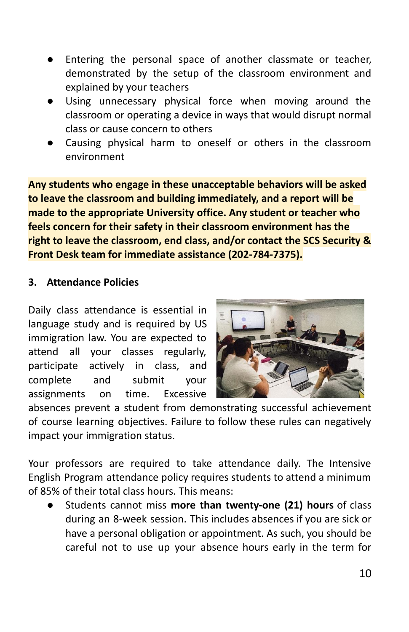- Entering the personal space of another classmate or teacher, demonstrated by the setup of the classroom environment and explained by your teachers
- Using unnecessary physical force when moving around the classroom or operating a device in ways that would disrupt normal class or cause concern to others
- Causing physical harm to oneself or others in the classroom environment

**Any students who engage in these unacceptable behaviors will be asked to leave the classroom and building immediately, and a report will be made to the appropriate University office. Any student or teacher who feels concern for their safety in their classroom environment has the right to leave the classroom, end class, and/or contact the SCS Security & Front Desk team for immediate assistance (202-784-7375).**

#### **3. Attendance Policies**

Daily class attendance is essential in language study and is required by US immigration law. You are expected to attend all your classes regularly, participate actively in class, and complete and submit your assignments on time. Excessive



absences prevent a student from demonstrating successful achievement of course learning objectives. Failure to follow these rules can negatively impact your immigration status.

Your professors are required to take attendance daily. The Intensive English Program attendance policy requires students to attend a minimum of 85% of their total class hours. This means:

● Students cannot miss **more than twenty-one (21) hours** of class during an 8-week session. This includes absences if you are sick or have a personal obligation or appointment. As such, you should be careful not to use up your absence hours early in the term for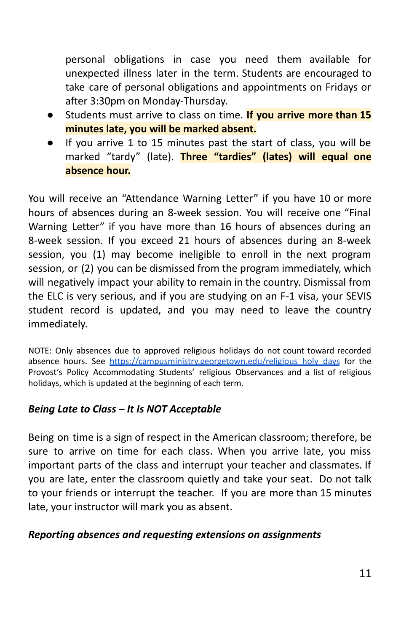personal obligations in case you need them available for unexpected illness later in the term. Students are encouraged to take care of personal obligations and appointments on Fridays or after 3:30pm on Monday-Thursday.

- Students must arrive to class on time. **If you arrive more than 15 minutes late, you will be marked absent.**
- If you arrive 1 to 15 minutes past the start of class, you will be marked "tardy" (late). **Three "tardies" (lates) will equal one absence hour.**

You will receive an "Attendance Warning Letter" if you have 10 or more hours of absences during an 8-week session. You will receive one "Final Warning Letter" if you have more than 16 hours of absences during an 8-week session. If you exceed 21 hours of absences during an 8-week session, you (1) may become ineligible to enroll in the next program session, or (2) you can be dismissed from the program immediately, which will negatively impact your ability to remain in the country. Dismissal from the ELC is very serious, and if you are studying on an F-1 visa, your SEVIS student record is updated, and you may need to leave the country immediately.

NOTE: Only absences due to approved religious holidays do not count toward recorded absence hours. See https://campusministry.georgetown.edu/religious holy days for the Provost's Policy Accommodating Students' religious Observances and a list of religious holidays, which is updated at the beginning of each term.

#### *Being Late to Class – It Is NOT Acceptable*

Being on time is a sign of respect in the American classroom; therefore, be sure to arrive on time for each class. When you arrive late, you miss important parts of the class and interrupt your teacher and classmates. If you are late, enter the classroom quietly and take your seat. Do not talk to your friends or interrupt the teacher. If you are more than 15 minutes late, your instructor will mark you as absent.

#### *Reporting absences and requesting extensions on assignments*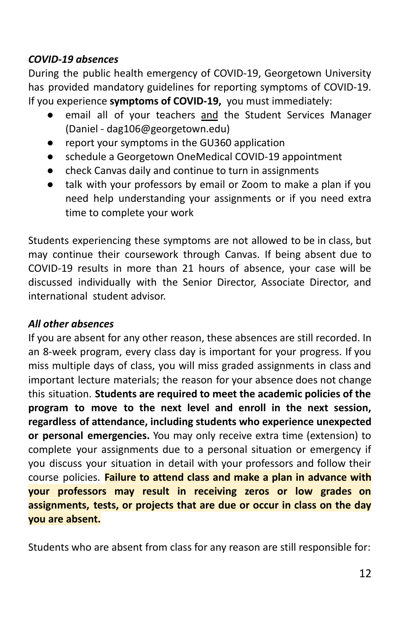### *COVID-19 absences*

During the public health emergency of COVID-19, Georgetown University has provided mandatory guidelines for reporting symptoms of COVID-19. If you experience **symptoms of COVID-19,** you must immediately:

- email all of your teachers and the Student Services Manager (Daniel - dag106@georgetown.edu)
- report your symptoms in the GU360 application
- schedule a Georgetown OneMedical COVID-19 appointment
- check Canvas daily and continue to turn in assignments
- talk with your professors by email or Zoom to make a plan if you need help understanding your assignments or if you need extra time to complete your work

Students experiencing these symptoms are not allowed to be in class, but may continue their coursework through Canvas. If being absent due to COVID-19 results in more than 21 hours of absence, your case will be discussed individually with the Senior Director, Associate Director, and international student advisor.

## *All other absences*

If you are absent for any other reason, these absences are still recorded. In an 8-week program, every class day is important for your progress. If you miss multiple days of class, you will miss graded assignments in class and important lecture materials; the reason for your absence does not change this situation. **Students are required to meet the academic policies of the program to move to the next level and enroll in the next session, regardless of attendance, including students who experience unexpected or personal emergencies.** You may only receive extra time (extension) to complete your assignments due to a personal situation or emergency if you discuss your situation in detail with your professors and follow their course policies. **Failure to attend class and make a plan in advance with your professors may result in receiving zeros or low grades on assignments, tests, or projects that are due or occur in class on the day you are absent.**

Students who are absent from class for any reason are still responsible for: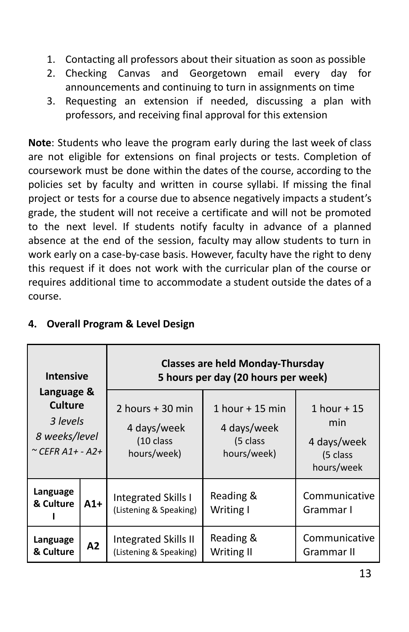- 1. Contacting all professors about their situation as soon as possible
- 2. Checking Canvas and Georgetown email every day for announcements and continuing to turn in assignments on time
- 3. Requesting an extension if needed, discussing a plan with professors, and receiving final approval for this extension

**Note**: Students who leave the program early during the last week of class are not eligible for extensions on final projects or tests. Completion of coursework must be done within the dates of the course, according to the policies set by faculty and written in course syllabi. If missing the final project or tests for a course due to absence negatively impacts a student's grade, the student will not receive a certificate and will not be promoted to the next level. If students notify faculty in advance of a planned absence at the end of the session, faculty may allow students to turn in work early on a case-by-case basis. However, faculty have the right to deny this request if it does not work with the curricular plan of the course or requires additional time to accommodate a student outside the dates of a course.

| <b>Intensive</b><br>Language &<br>Culture<br>3 levels<br>8 weeks/level<br>$\sim$ CEFR A1+ - A2+<br>Language<br>& Culture<br>$A1+$ |    | <b>Classes are held Monday-Thursday</b><br>5 hours per day (20 hours per week) |                                                             |                                                              |  |
|-----------------------------------------------------------------------------------------------------------------------------------|----|--------------------------------------------------------------------------------|-------------------------------------------------------------|--------------------------------------------------------------|--|
|                                                                                                                                   |    | 2 hours $+30$ min<br>4 days/week<br>(10 class<br>hours/week)                   | 1 hour $+$ 15 min<br>4 days/week<br>(5 class<br>hours/week) | 1 hour $+15$<br>min<br>4 days/week<br>(5 class<br>hours/week |  |
|                                                                                                                                   |    | Integrated Skills I<br>(Listening & Speaking)                                  | Reading &<br>Writing I                                      | Communicative<br>Grammar I                                   |  |
| Language<br>& Culture                                                                                                             | A2 | <b>Integrated Skills II</b><br>(Listening & Speaking)                          | Reading &<br>Writing II                                     | Communicative<br>Grammar II                                  |  |

#### **4. Overall Program & Level Design**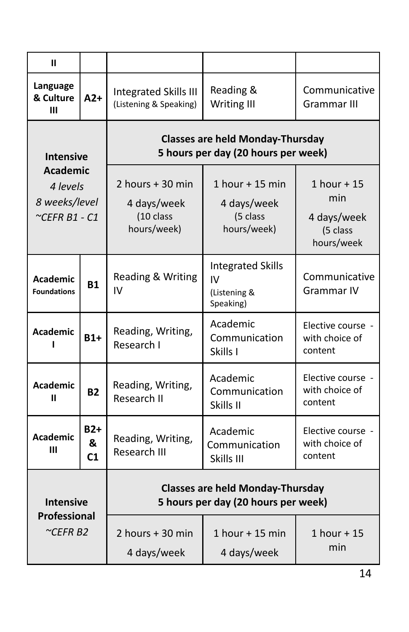| Ш                                                                                       |  |                                                                                |                                                                                |                                                               |  |  |
|-----------------------------------------------------------------------------------------|--|--------------------------------------------------------------------------------|--------------------------------------------------------------------------------|---------------------------------------------------------------|--|--|
| Language<br>& Culture<br>$A2+$<br>Ш                                                     |  | <b>Integrated Skills III</b><br>(Listening & Speaking)                         | Reading &<br><b>Writing III</b>                                                | Communicative<br>Grammar III                                  |  |  |
| <b>Intensive</b><br><b>Academic</b><br>4 levels<br>8 weeks/level<br>$\sim$ CEFR B1 - C1 |  |                                                                                | <b>Classes are held Monday-Thursday</b><br>5 hours per day (20 hours per week) |                                                               |  |  |
|                                                                                         |  | 2 hours + 30 min<br>4 days/week<br>(10 class<br>hours/week)                    | 1 hour $+$ 15 min<br>4 days/week<br>(5 class<br>hours/week)                    | $1$ hour + 15<br>min<br>4 days/week<br>(5 class<br>hours/week |  |  |
| <b>Academic</b><br><b>B1</b><br><b>Foundations</b>                                      |  | Reading & Writing<br>IV                                                        | <b>Integrated Skills</b><br>IV<br>(Listening &<br>Speaking)                    | Communicative<br>Grammar IV                                   |  |  |
| <b>Academic</b><br>$B1+$                                                                |  | Reading, Writing,<br>Research I                                                | Academic<br>Communication<br>Skills I                                          | Elective course -<br>with choice of<br>content                |  |  |
| <b>Academic</b><br><b>B2</b><br>п                                                       |  | Reading, Writing,<br>Research II                                               | Academic<br>Communication<br>Skills II                                         | Elective course -<br>with choice of<br>content                |  |  |
| $B2+$<br><b>Academic</b><br>&<br>Ш<br>C <sub>1</sub>                                    |  | Reading, Writing,<br>Research III                                              | Academic<br>Communication<br>Skills III                                        | Elective course -<br>with choice of<br>content                |  |  |
| <b>Intensive</b>                                                                        |  | <b>Classes are held Monday-Thursday</b><br>5 hours per day (20 hours per week) |                                                                                |                                                               |  |  |
| <b>Professional</b><br>$\sim$ CEFR B2                                                   |  | 2 hours $+30$ min<br>4 days/week                                               | 1 hour + 15 min<br>4 days/week                                                 | $1$ hour + 15<br>min                                          |  |  |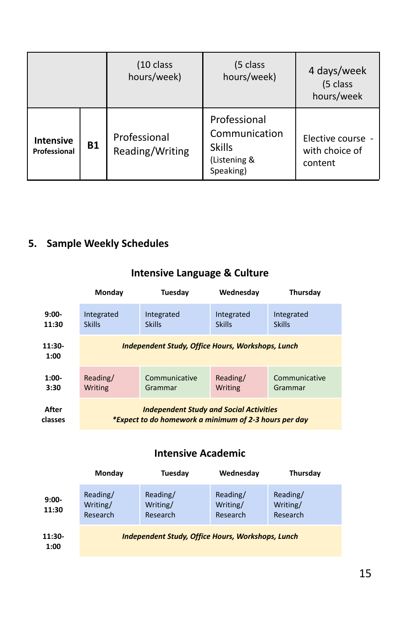|                                  |           | $(10 \text{ class})$<br>hours/week) | (5 class<br>hours/week)                                                     | 4 days/week<br>(5 class<br>hours/week          |
|----------------------------------|-----------|-------------------------------------|-----------------------------------------------------------------------------|------------------------------------------------|
| <b>Intensive</b><br>Professional | <b>B1</b> | Professional<br>Reading/Writing     | Professional<br>Communication<br><b>Skills</b><br>(Listening &<br>Speaking) | Elective course -<br>with choice of<br>content |

## **5. Sample Weekly Schedules**

|  | <b>Intensive Language &amp; Culture</b> |  |  |
|--|-----------------------------------------|--|--|
|--|-----------------------------------------|--|--|

|                  | Monday                                                   | Tuesday       | Wednesdav     | Thursday      |  |  |
|------------------|----------------------------------------------------------|---------------|---------------|---------------|--|--|
| $9:00 -$         | Integrated                                               | Integrated    | Integrated    | Integrated    |  |  |
| 11:30            | <b>Skills</b>                                            | <b>Skills</b> | <b>Skills</b> | <b>Skills</b> |  |  |
| $11:30-$<br>1:00 | <b>Independent Study, Office Hours, Workshops, Lunch</b> |               |               |               |  |  |
| $1:00-$          | Reading/                                                 | Communicative | Reading/      | Communicative |  |  |
| 3:30             | Writing                                                  | Grammar       | Writing       | Grammar       |  |  |
| <b>After</b>     | <b>Independent Study and Social Activities</b>           |               |               |               |  |  |
| classes          | *Expect to do homework a minimum of 2-3 hours per day    |               |               |               |  |  |

## **Intensive Academic**

|                   | Monday                           | Tuesday                                                  | Wednesday                        | <b>Thursday</b>                  |
|-------------------|----------------------------------|----------------------------------------------------------|----------------------------------|----------------------------------|
| $9:00 -$<br>11:30 | Reading/<br>Writing/<br>Research | Reading/<br>Writing/<br>Research                         | Reading/<br>Writing/<br>Research | Reading/<br>Writing/<br>Research |
| 11:30<br>1:00     |                                  | <b>Independent Study, Office Hours, Workshops, Lunch</b> |                                  |                                  |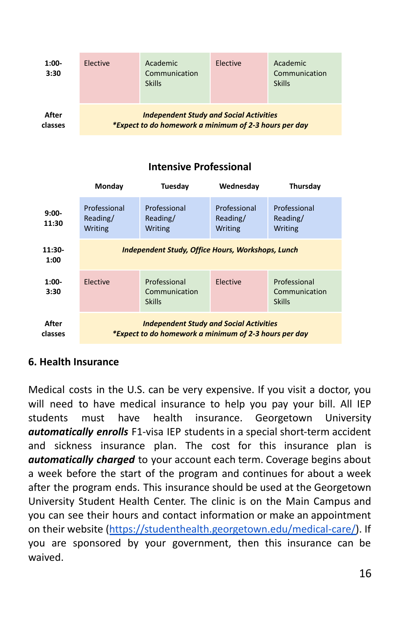| $1:00 -$<br>3:30 | Elective | <b>Academic</b><br>Communication<br><b>Skills</b>                                                       | Elective | Academic<br>Communication<br><b>Skills</b> |
|------------------|----------|---------------------------------------------------------------------------------------------------------|----------|--------------------------------------------|
| After<br>classes |          | <b>Independent Study and Social Activities</b><br>*Expect to do homework a minimum of 2-3 hours per day |          |                                            |

## **Intensive Professional**

|                   | Monday                                                                                                  | Tuesday                                        | Wednesday                           | Thursday                                       |  |
|-------------------|---------------------------------------------------------------------------------------------------------|------------------------------------------------|-------------------------------------|------------------------------------------------|--|
| $9:00 -$<br>11:30 | Professional<br>Reading/<br>Writing                                                                     | Professional<br>Reading/<br>Writing            | Professional<br>Reading/<br>Writing | Professional<br>Reading/<br>Writing            |  |
| $11:30-$<br>1:00  | <b>Independent Study, Office Hours, Workshops, Lunch</b>                                                |                                                |                                     |                                                |  |
| $1:00 -$<br>3:30  | Elective                                                                                                | Professional<br>Communication<br><b>Skills</b> | Elective                            | Professional<br>Communication<br><b>Skills</b> |  |
| After<br>classes  | <b>Independent Study and Social Activities</b><br>*Expect to do homework a minimum of 2-3 hours per day |                                                |                                     |                                                |  |

#### **6. Health Insurance**

Medical costs in the U.S. can be very expensive. If you visit a doctor, you will need to have medical insurance to help you pay your bill. All IEP students must have health insurance. Georgetown University *automatically enrolls* F1-visa IEP students in a special short-term accident and sickness insurance plan. The cost for this insurance plan is *automatically charged* to your account each term. Coverage begins about a week before the start of the program and continues for about a week after the program ends. This insurance should be used at the Georgetown University Student Health Center. The clinic is on the Main Campus and you can see their hours and contact information or make an appointment on their website ([https://studenthealth.georgetown.edu/medical-care/\)](https://studenthealth.georgetown.edu/medical-care/). If you are sponsored by your government, then this insurance can be waived.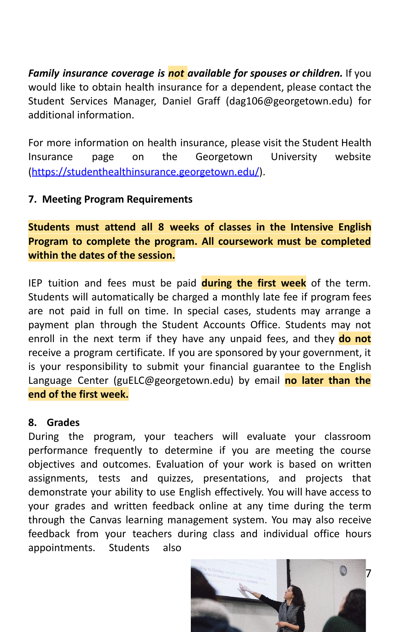*Family insurance coverage is not available for spouses or children.* If you would like to obtain health insurance for a dependent, please contact the Student Services Manager, Daniel Graff (dag106@georgetown.edu) for additional information.

For more information on health insurance, please visit the Student Health Insurance page on the Georgetown University website (<https://studenthealthinsurance.georgetown.edu/>).

#### **7. Meeting Program Requirements**

**Students must attend all 8 weeks of classes in the Intensive English Program to complete the program. All coursework must be completed within the dates of the session.**

IEP tuition and fees must be paid **during the first week** of the term. Students will automatically be charged a monthly late fee if program fees are not paid in full on time. In special cases, students may arrange a payment plan through the Student Accounts Office. Students may not enroll in the next term if they have any unpaid fees, and they **do not** receive a program certificate. If you are sponsored by your government, it is your responsibility to submit your financial guarantee to the English Language Center (guELC@georgetown.edu) by email **no later than the end of the first week.**

#### **8. Grades**

During the program, your teachers will evaluate your classroom performance frequently to determine if you are meeting the course objectives and outcomes. Evaluation of your work is based on written assignments, tests and quizzes, presentations, and projects that demonstrate your ability to use English effectively. You will have access to your grades and written feedback online at any time during the term through the Canvas learning management system. You may also receive feedback from your teachers during class and individual office hours appointments. Students also

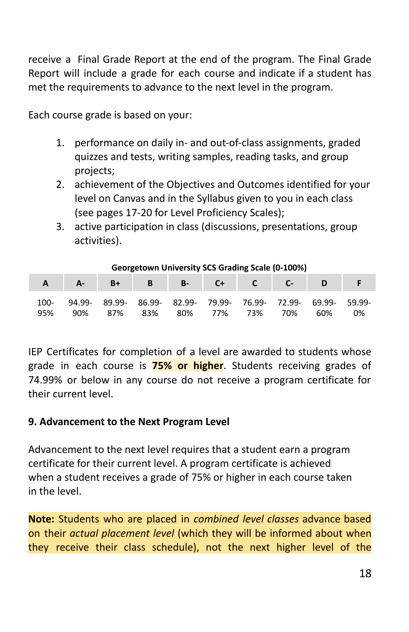receive a Final Grade Report at the end of the program. The Final Grade Report will include a grade for each course and indicate if a student has met the requirements to advance to the next level in the program.

Each course grade is based on your:

- 1. performance on daily in- and out-of-class assignments, graded quizzes and tests, writing samples, reading tasks, and group projects;
- 2. achievement of the Objectives and Outcomes identified for your level on Canvas and in the Syllabus given to you in each class (see pages 17-20 for Level Proficiency Scales);
- 3. active participation in class (discussions, presentations, group activities).

| Georgetown University SCS Grading Scale (0-100%) |               |               |               |               |      |                      |               |               |              |
|--------------------------------------------------|---------------|---------------|---------------|---------------|------|----------------------|---------------|---------------|--------------|
|                                                  | А-            | B+            |               | <b>B-</b>     | $C+$ |                      |               |               |              |
| 100-<br>95%                                      | 94.99-<br>90% | 89.99-<br>87% | 86.99-<br>83% | 82.99-<br>80% | 77%  | 79.99- 76.99-<br>73% | 72.99-<br>70% | 69.99-<br>60% | 59.99-<br>0% |

IEP Certificates for completion of a level are awarded to students whose grade in each course is **75% or higher**. Students receiving grades of 74.99% or below in any course do not receive a program certificate for their current level.

#### **9. Advancement to the Next Program Level**

Advancement to the next level requires that a student earn a program certificate for their current level. A program certificate is achieved when a student receives a grade of 75% or higher in each course taken in the level.

**Note:** Students who are placed in *combined level classes* advance based on their *actual placement level* (which they will be informed about when they receive their class schedule), not the next higher level of the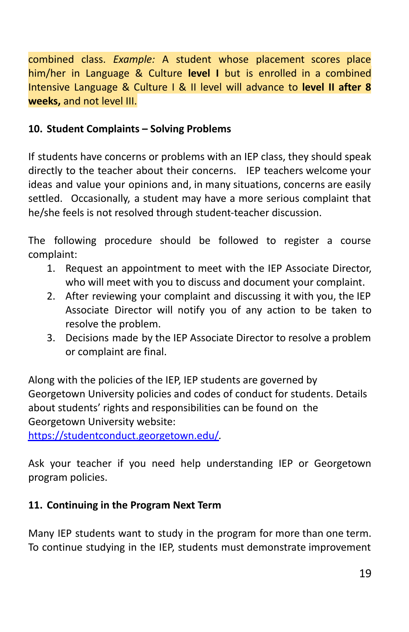combined class. *Example:* A student whose placement scores place him/her in Language & Culture **level I** but is enrolled in a combined Intensive Language & Culture I & II level will advance to **level II after 8 weeks,** and not level III.

## **10. Student Complaints – Solving Problems**

If students have concerns or problems with an IEP class, they should speak directly to the teacher about their concerns. IEP teachers welcome your ideas and value your opinions and, in many situations, concerns are easily settled. Occasionally, a student may have a more serious complaint that he/she feels is not resolved through student-teacher discussion.

The following procedure should be followed to register a course complaint:

- 1. Request an appointment to meet with the IEP Associate Director, who will meet with you to discuss and document your complaint.
- 2. After reviewing your complaint and discussing it with you, the IEP Associate Director will notify you of any action to be taken to resolve the problem.
- 3. Decisions made by the IEP Associate Director to resolve a problem or complaint are final.

Along with the policies of the IEP, IEP students are governed by Georgetown University policies and codes of conduct for students. Details about students' rights and responsibilities can be found on the Georgetown University website:

<https://studentconduct.georgetown.edu/>*.*

Ask your teacher if you need help understanding IEP or Georgetown program policies.

#### **11. Continuing in the Program Next Term**

Many IEP students want to study in the program for more than one term. To continue studying in the IEP, students must demonstrate improvement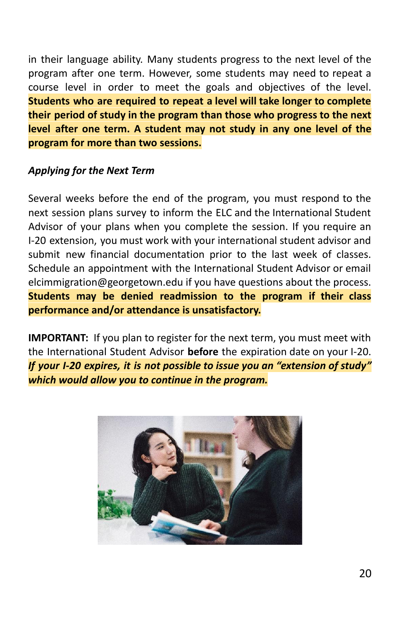in their language ability. Many students progress to the next level of the program after one term. However, some students may need to repeat a course level in order to meet the goals and objectives of the level. **Students who are required to repeat a level will take longer to complete their period of study in the program than those who progress to the next level after one term. A student may not study in any one level of the program for more than two sessions.**

#### *Applying for the Next Term*

Several weeks before the end of the program, you must respond to the next session plans survey to inform the ELC and the International Student Advisor of your plans when you complete the session. If you require an I-20 extension, you must work with your international student advisor and submit new financial documentation prior to the last week of classes. Schedule an appointment with the International Student Advisor or email elcimmigration@georgetown.edu if you have questions about the process. **Students may be denied readmission to the program if their class performance and/or attendance is unsatisfactory.**

**IMPORTANT:** If you plan to register for the next term, you must meet with the International Student Advisor **before** the expiration date on your I-20. *If your I-20 expires, it is not possible to issue you an "extension of study" which would allow you to continue in the program.*

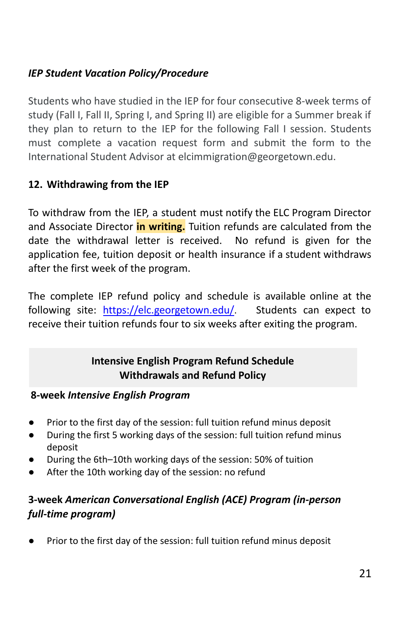## *IEP Student Vacation Policy/Procedure*

Students who have studied in the IEP for four consecutive 8-week terms of study (Fall I, Fall II, Spring I, and Spring II) are eligible for a Summer break if they plan to return to the IEP for the following Fall I session. Students must complete a vacation request form and submit the form to the International Student Advisor at elcimmigration@georgetown.edu.

## **12. Withdrawing from the IEP**

To withdraw from the IEP, a student must notify the ELC Program Director and Associate Director **in writing.** Tuition refunds are calculated from the date the withdrawal letter is received. No refund is given for the application fee, tuition deposit or health insurance if a student withdraws after the first week of the program.

The complete IEP refund policy and schedule is available online at the following site: <https://elc.georgetown.edu/>. Students can expect to receive their tuition refunds four to six weeks after exiting the program.

## **Intensive English Program Refund Schedule Withdrawals and Refund Policy**

#### **8-week** *Intensive English Program*

- Prior to the first day of the session: full tuition refund minus deposit
- During the first 5 working days of the session: full tuition refund minus deposit
- During the 6th–10th working days of the session: 50% of tuition
- After the 10th working day of the session: no refund

## **3-week** *American Conversational English (ACE) Program (in-person full-time program)*

Prior to the first day of the session: full tuition refund minus deposit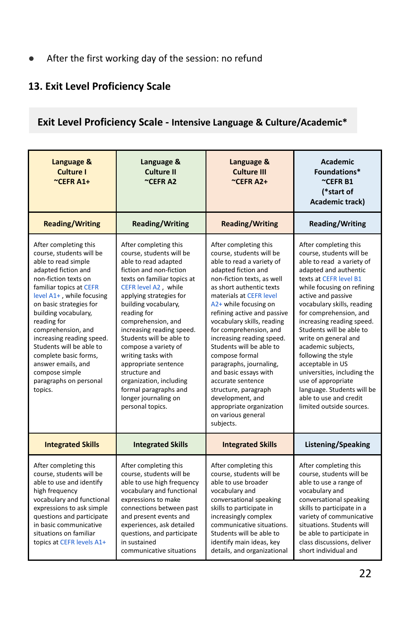● After the first working day of the session: no refund

## **13. Exit Level Proficiency Scale**

## **Exit Level Proficiency Scale - Intensive Language & Culture/Academic\***

| Language &<br>Language &<br>Culture I<br>Culture II<br>$C$ EFRA1+<br>~CEFRA2                                                                                                                                                                                                                                                                                                                                                           |                                                                                                                                                                                                                                                                                                                                                                                                                                                                                                     | Language &<br><b>Culture III</b><br>$C$ EFRA2+                                                                                                                                                                                                                                                                                                                                                                                                                                                                                                                            | <b>Academic</b><br>Foundations*<br>$^{\sim}$ CEFR B1<br>(*start of<br>Academic track)                                                                                                                                                                                                                                                                                                                                                                                                                                                    |  |
|----------------------------------------------------------------------------------------------------------------------------------------------------------------------------------------------------------------------------------------------------------------------------------------------------------------------------------------------------------------------------------------------------------------------------------------|-----------------------------------------------------------------------------------------------------------------------------------------------------------------------------------------------------------------------------------------------------------------------------------------------------------------------------------------------------------------------------------------------------------------------------------------------------------------------------------------------------|---------------------------------------------------------------------------------------------------------------------------------------------------------------------------------------------------------------------------------------------------------------------------------------------------------------------------------------------------------------------------------------------------------------------------------------------------------------------------------------------------------------------------------------------------------------------------|------------------------------------------------------------------------------------------------------------------------------------------------------------------------------------------------------------------------------------------------------------------------------------------------------------------------------------------------------------------------------------------------------------------------------------------------------------------------------------------------------------------------------------------|--|
| <b>Reading/Writing</b>                                                                                                                                                                                                                                                                                                                                                                                                                 | <b>Reading/Writing</b>                                                                                                                                                                                                                                                                                                                                                                                                                                                                              | <b>Reading/Writing</b>                                                                                                                                                                                                                                                                                                                                                                                                                                                                                                                                                    | Reading/Writing                                                                                                                                                                                                                                                                                                                                                                                                                                                                                                                          |  |
| After completing this<br>course, students will be<br>able to read simple<br>adapted fiction and<br>non-fiction texts on<br>familiar topics at CEFR<br>level A1+, while focusing<br>on basic strategies for<br>building vocabulary,<br>reading for<br>comprehension, and<br>increasing reading speed.<br>Students will be able to<br>complete basic forms,<br>answer emails, and<br>compose simple<br>paragraphs on personal<br>topics. | After completing this<br>course, students will be<br>able to read adapted<br>fiction and non-fiction<br>texts on familiar topics at<br>CEFR level A2, while<br>applying strategies for<br>building vocabulary,<br>reading for<br>comprehension, and<br>increasing reading speed.<br>Students will be able to<br>compose a variety of<br>writing tasks with<br>appropriate sentence<br>structure and<br>organization, including<br>formal paragraphs and<br>longer journaling on<br>personal topics. | After completing this<br>course, students will be<br>able to read a variety of<br>adapted fiction and<br>non-fiction texts, as well<br>as short authentic texts<br>materials at CEFR level<br>A2+ while focusing on<br>refining active and passive<br>vocabulary skills, reading<br>for comprehension, and<br>increasing reading speed.<br>Students will be able to<br>compose formal<br>paragraphs, journaling,<br>and basic essays with<br>accurate sentence<br>structure, paragraph<br>development, and<br>appropriate organization<br>on various general<br>subjects. | After completing this<br>course, students will be<br>able to read a variety of<br>adapted and authentic<br>texts at CEFR level B1<br>while focusing on refining<br>active and passive<br>vocabulary skills, reading<br>for comprehension, and<br>increasing reading speed.<br>Students will be able to<br>write on general and<br>academic subjects,<br>following the style<br>acceptable in US<br>universities, including the<br>use of appropriate<br>language. Students will be<br>able to use and credit<br>limited outside sources. |  |
| <b>Integrated Skills</b>                                                                                                                                                                                                                                                                                                                                                                                                               | <b>Integrated Skills</b>                                                                                                                                                                                                                                                                                                                                                                                                                                                                            | <b>Integrated Skills</b>                                                                                                                                                                                                                                                                                                                                                                                                                                                                                                                                                  | Listening/Speaking                                                                                                                                                                                                                                                                                                                                                                                                                                                                                                                       |  |
| After completing this<br>course, students will be<br>able to use and identify<br>high frequency<br>vocabulary and functional<br>expressions to ask simple<br>questions and participate<br>in basic communicative<br>situations on familiar<br>topics at CEFR levels A1+                                                                                                                                                                | After completing this<br>course, students will be<br>able to use high frequency<br>vocabulary and functional<br>expressions to make<br>connections between past<br>and present events and<br>experiences, ask detailed<br>questions, and participate<br>in sustained<br>communicative situations                                                                                                                                                                                                    | After completing this<br>course, students will be<br>able to use broader<br>vocabulary and<br>conversational speaking<br>skills to participate in<br>increasingly complex<br>communicative situations.<br>Students will be able to<br>identify main ideas, key<br>details, and organizational                                                                                                                                                                                                                                                                             | After completing this<br>course, students will be<br>able to use a range of<br>vocabulary and<br>conversational speaking<br>skills to participate in a<br>variety of communicative<br>situations. Students will<br>be able to participate in<br>class discussions, deliver<br>short individual and                                                                                                                                                                                                                                       |  |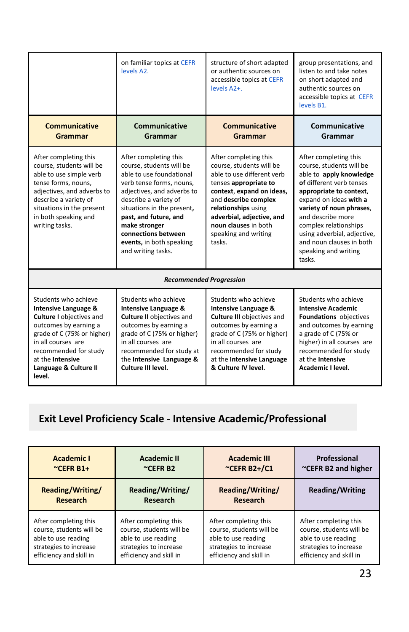|                                                                                                                                                                                                                                                         | on familiar topics at CEFR<br>levels A2.                                                                                                                                                                                                                                                                          | structure of short adapted<br>or authentic sources on<br>accessible topics at CEFR<br>levels A2+.                                                                                                                                                                           | group presentations, and<br>listen to and take notes<br>on short adapted and<br>authentic sources on<br>accessible topics at CEFR<br>levels B1.                                                                                                                                                                                     |
|---------------------------------------------------------------------------------------------------------------------------------------------------------------------------------------------------------------------------------------------------------|-------------------------------------------------------------------------------------------------------------------------------------------------------------------------------------------------------------------------------------------------------------------------------------------------------------------|-----------------------------------------------------------------------------------------------------------------------------------------------------------------------------------------------------------------------------------------------------------------------------|-------------------------------------------------------------------------------------------------------------------------------------------------------------------------------------------------------------------------------------------------------------------------------------------------------------------------------------|
| <b>Communicative</b><br>Grammar                                                                                                                                                                                                                         | Communicative<br>Grammar                                                                                                                                                                                                                                                                                          | Communicative<br>Grammar                                                                                                                                                                                                                                                    | Communicative<br>Grammar                                                                                                                                                                                                                                                                                                            |
| After completing this<br>course, students will be<br>able to use simple verb<br>tense forms, nouns,<br>adjectives, and adverbs to<br>describe a variety of<br>situations in the present<br>in both speaking and<br>writing tasks.                       | After completing this<br>course, students will be<br>able to use foundational<br>verb tense forms, nouns,<br>adjectives, and adverbs to<br>describe a variety of<br>situations in the present,<br>past, and future, and<br>make stronger<br>connections between<br>events, in both speaking<br>and writing tasks. | After completing this<br>course, students will be<br>able to use different verb<br>tenses appropriate to<br>context, expand on ideas,<br>and describe complex<br>relationships using<br>adverbial, adjective, and<br>noun clauses in both<br>speaking and writing<br>tasks. | After completing this<br>course, students will be<br>able to apply knowledge<br>of different verb tenses<br>appropriate to context,<br>expand on ideas with a<br>variety of noun phrases,<br>and describe more<br>complex relationships<br>using adverbial, adjective,<br>and noun clauses in both<br>speaking and writing<br>tasks |
| <b>Recommended Progression</b>                                                                                                                                                                                                                          |                                                                                                                                                                                                                                                                                                                   |                                                                                                                                                                                                                                                                             |                                                                                                                                                                                                                                                                                                                                     |
| Students who achieve<br><b>Intensive Language &amp;</b><br><b>Culture I</b> objectives and<br>outcomes by earning a<br>grade of C (75% or higher)<br>in all courses are<br>recommended for study<br>at the Intensive<br>Language & Culture II<br>level. | Students who achieve<br>Intensive Language &<br><b>Culture II</b> objectives and<br>outcomes by earning a<br>grade of C (75% or higher)<br>in all courses are<br>recommended for study at<br>the Intensive Language &<br>Culture III level.                                                                       | Students who achieve<br>Intensive Language &<br><b>Culture III</b> objectives and<br>outcomes by earning a<br>grade of C (75% or higher)<br>in all courses are<br>recommended for study<br>at the Intensive Language<br>& Culture IV level.                                 | Students who achieve<br><b>Intensive Academic</b><br>Foundations objectives<br>and outcomes by earning<br>a grade of C (75% or<br>higher) in all courses are<br>recommended for study<br>at the Intensive<br>Academic I level.                                                                                                      |

## **Exit Level Proficiency Scale - Intensive Academic/Professional**

| <b>Academic I</b>        | <b>Academic II</b>         | <b>Academic III</b>                      | Professional             |
|--------------------------|----------------------------|------------------------------------------|--------------------------|
| $C$ CEFR B1+             | $\sim$ CEFR B <sub>2</sub> | $C$ CEFR B <sub>2+</sub> /C <sub>1</sub> | ~CEFR B2 and higher      |
| Reading/Writing/         | Reading/Writing/           | Reading/Writing/                         | <b>Reading/Writing</b>   |
| <b>Research</b>          | <b>Research</b>            | Research                                 |                          |
| After completing this    | After completing this      | After completing this                    | After completing this    |
| course, students will be | course, students will be   | course, students will be                 | course, students will be |
| able to use reading      | able to use reading        | able to use reading                      | able to use reading      |
| strategies to increase   | strategies to increase     | strategies to increase                   | strategies to increase   |
| efficiency and skill in  | efficiency and skill in    | efficiency and skill in                  | efficiency and skill in  |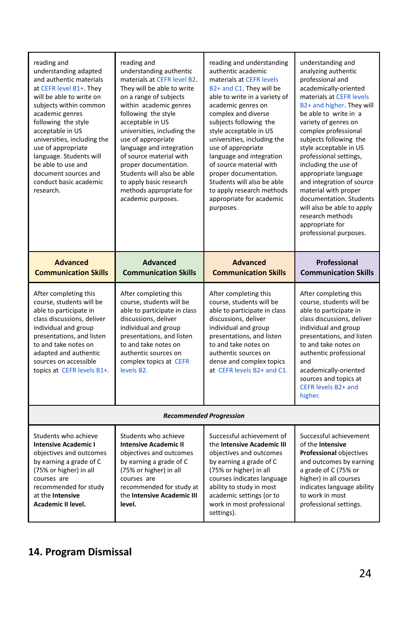| reading and<br>understanding adapted<br>and authentic materials<br>at CEFR level B1+. They<br>will be able to write on<br>subjects within common<br>academic genres<br>following the style<br>acceptable in US<br>universities, including the<br>use of appropriate<br>language. Students will<br>be able to use and<br>document sources and<br>conduct basic academic<br>research. | reading and<br>understanding authentic<br>materials at CEFR level B2.<br>They will be able to write<br>on a range of subjects<br>within academic genres<br>following the style<br>acceptable in US<br>universities, including the<br>use of appropriate<br>language and integration<br>of source material with<br>proper documentation.<br>Students will also be able<br>to apply basic research<br>methods appropriate for<br>academic purposes. | reading and understanding<br>authentic academic<br>materials at CEFR levels<br>B2+ and C1. They will be<br>able to write in a variety of<br>academic genres on<br>complex and diverse<br>subjects following the<br>style acceptable in US<br>universities, including the<br>use of appropriate<br>language and integration<br>of source material with<br>proper documentation.<br>Students will also be able<br>to apply research methods<br>appropriate for academic<br>purposes. | understanding and<br>analyzing authentic<br>professional and<br>academically-oriented<br>materials at CEFR levels<br>B2+ and higher. They will<br>be able to write in a<br>variety of genres on<br>complex professional<br>subjects following the<br>style acceptable in US<br>professional settings,<br>including the use of<br>appropriate language<br>and integration of source<br>material with proper<br>documentation. Students<br>will also be able to apply<br>research methods<br>appropriate for<br>professional purposes. |  |
|-------------------------------------------------------------------------------------------------------------------------------------------------------------------------------------------------------------------------------------------------------------------------------------------------------------------------------------------------------------------------------------|---------------------------------------------------------------------------------------------------------------------------------------------------------------------------------------------------------------------------------------------------------------------------------------------------------------------------------------------------------------------------------------------------------------------------------------------------|------------------------------------------------------------------------------------------------------------------------------------------------------------------------------------------------------------------------------------------------------------------------------------------------------------------------------------------------------------------------------------------------------------------------------------------------------------------------------------|--------------------------------------------------------------------------------------------------------------------------------------------------------------------------------------------------------------------------------------------------------------------------------------------------------------------------------------------------------------------------------------------------------------------------------------------------------------------------------------------------------------------------------------|--|
| <b>Advanced</b><br><b>Communication Skills</b>                                                                                                                                                                                                                                                                                                                                      | <b>Advanced</b><br><b>Communication Skills</b>                                                                                                                                                                                                                                                                                                                                                                                                    | <b>Advanced</b><br><b>Communication Skills</b>                                                                                                                                                                                                                                                                                                                                                                                                                                     | Professional<br><b>Communication Skills</b>                                                                                                                                                                                                                                                                                                                                                                                                                                                                                          |  |
| After completing this<br>course, students will be<br>able to participate in<br>class discussions, deliver<br>individual and group<br>presentations, and listen<br>to and take notes on<br>adapted and authentic<br>sources on accessible<br>topics at CEFR levels B1+.                                                                                                              | After completing this<br>course, students will be<br>able to participate in class<br>discussions, deliver<br>individual and group<br>presentations, and listen<br>to and take notes on<br>authentic sources on<br>complex topics at CEFR<br>levels B2.                                                                                                                                                                                            | After completing this<br>course, students will be<br>able to participate in class<br>discussions, deliver<br>individual and group<br>presentations, and listen<br>to and take notes on<br>authentic sources on<br>dense and complex topics<br>at CEFR levels B2+ and C1.                                                                                                                                                                                                           | After completing this<br>course, students will be<br>able to participate in<br>class discussions, deliver<br>individual and group<br>presentations, and listen<br>to and take notes on<br>authentic professional<br>and<br>academically-oriented<br>sources and topics at<br>CEFR levels B2+ and<br>higher.                                                                                                                                                                                                                          |  |
| <b>Recommended Progression</b>                                                                                                                                                                                                                                                                                                                                                      |                                                                                                                                                                                                                                                                                                                                                                                                                                                   |                                                                                                                                                                                                                                                                                                                                                                                                                                                                                    |                                                                                                                                                                                                                                                                                                                                                                                                                                                                                                                                      |  |
| Students who achieve<br><b>Intensive Academic I</b><br>objectives and outcomes<br>by earning a grade of C<br>(75% or higher) in all<br>courses are<br>recommended for study<br>at the Intensive<br>Academic II level.                                                                                                                                                               | Students who achieve<br><b>Intensive Academic II</b><br>objectives and outcomes<br>by earning a grade of C<br>(75% or higher) in all<br>courses are<br>recommended for study at<br>the Intensive Academic III<br>level.                                                                                                                                                                                                                           | Successful achievement of<br>the Intensive Academic III<br>objectives and outcomes<br>by earning a grade of C<br>(75% or higher) in all<br>courses indicates language<br>ability to study in most<br>academic settings (or to<br>work in most professional<br>settings).                                                                                                                                                                                                           | Successful achievement<br>of the Intensive<br>Professional objectives<br>and outcomes by earning<br>a grade of C (75% or<br>higher) in all courses<br>indicates language ability<br>to work in most<br>professional settings.                                                                                                                                                                                                                                                                                                        |  |

## **14. Program Dismissal**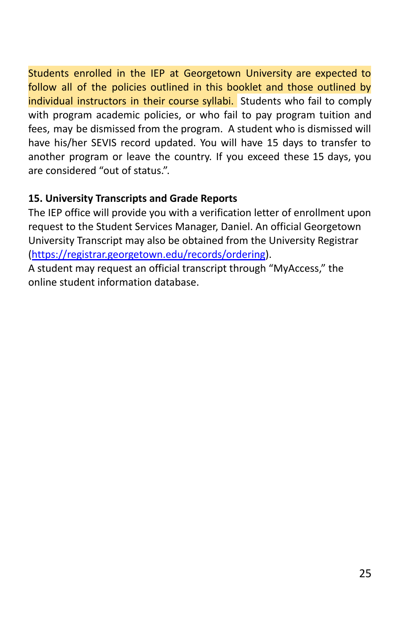Students enrolled in the IEP at Georgetown University are expected to follow all of the policies outlined in this booklet and those outlined by individual instructors in their course syllabi. Students who fail to comply with program academic policies, or who fail to pay program tuition and fees, may be dismissed from the program. A student who is dismissed will have his/her SEVIS record updated. You will have 15 days to transfer to another program or leave the country. If you exceed these 15 days, you are considered "out of status.".

## **15. University Transcripts and Grade Reports**

The IEP office will provide you with a verification letter of enrollment upon request to the Student Services Manager, Daniel. An official Georgetown University Transcript may also be obtained from the University Registrar (<https://registrar.georgetown.edu/records/ordering>).

A student may request an official transcript through "MyAccess," the online student information database.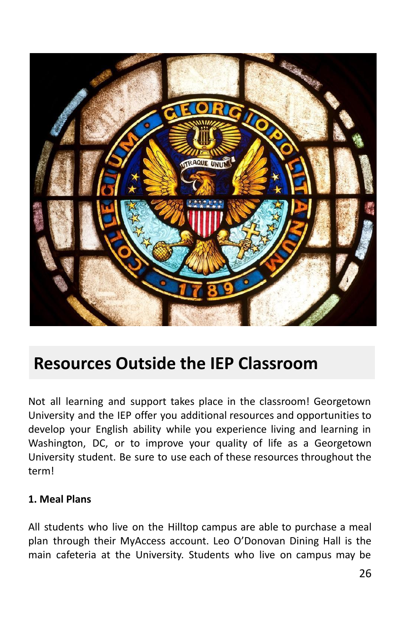

## **Resources Outside the IEP Classroom**

Not all learning and support takes place in the classroom! Georgetown University and the IEP offer you additional resources and opportunities to develop your English ability while you experience living and learning in Washington, DC, or to improve your quality of life as a Georgetown University student. Be sure to use each of these resources throughout the term!

#### **1. Meal Plans**

All students who live on the Hilltop campus are able to purchase a meal plan through their MyAccess account. Leo O'Donovan Dining Hall is the main cafeteria at the University. Students who live on campus may be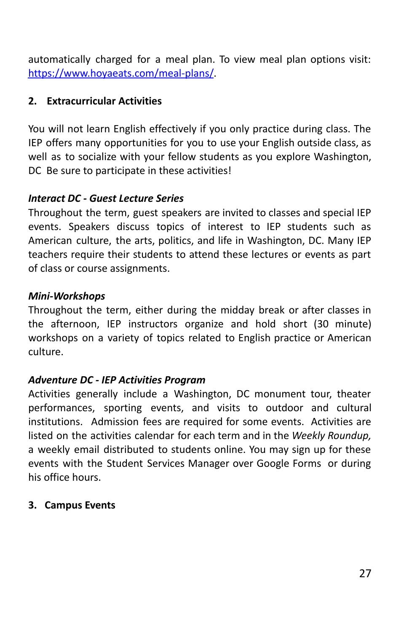automatically charged for a meal plan. To view meal plan options visit: <https://www.hoyaeats.com/meal-plans/>.

### **2. Extracurricular Activities**

You will not learn English effectively if you only practice during class. The IEP offers many opportunities for you to use your English outside class, as well as to socialize with your fellow students as you explore Washington, DC Be sure to participate in these activities!

## *Interact DC - Guest Lecture Series*

Throughout the term, guest speakers are invited to classes and special IEP events. Speakers discuss topics of interest to IEP students such as American culture, the arts, politics, and life in Washington, DC. Many IEP teachers require their students to attend these lectures or events as part of class or course assignments.

## *Mini-Workshops*

Throughout the term, either during the midday break or after classes in the afternoon, IEP instructors organize and hold short (30 minute) workshops on a variety of topics related to English practice or American culture.

#### *Adventure DC - IEP Activities Program*

Activities generally include a Washington, DC monument tour, theater performances, sporting events, and visits to outdoor and cultural institutions. Admission fees are required for some events. Activities are listed on the activities calendar for each term and in the *Weekly Roundup,* a weekly email distributed to students online. You may sign up for these events with the Student Services Manager over Google Forms or during his office hours.

#### **3. Campus Events**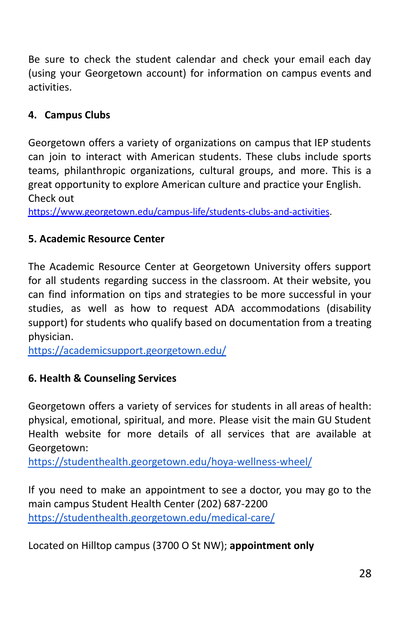Be sure to check the student calendar and check your email each day (using your Georgetown account) for information on campus events and activities.

## **4. Campus Clubs**

Georgetown offers a variety of organizations on campus that IEP students can join to interact with American students. These clubs include sports teams, philanthropic organizations, cultural groups, and more. This is a great opportunity to explore American culture and practice your English. Check out

<https://www.georgetown.edu/campus-life/students-clubs-and-activities>.

## **5. Academic Resource Center**

The Academic Resource Center at Georgetown University offers support for all students regarding success in the classroom. At their website, you can find information on tips and strategies to be more successful in your studies, as well as how to request ADA accommodations (disability support) for students who qualify based on documentation from a treating physician.

<https://academicsupport.georgetown.edu/>

## **6. Health & Counseling Services**

Georgetown offers a variety of services for students in all areas of health: physical, emotional, spiritual, and more. Please visit the main GU Student Health website for more details of all services that are available at Georgetown:

<https://studenthealth.georgetown.edu/hoya-wellness-wheel/>

If you need to make an appointment to see a doctor, you may go to the main campus Student Health Center (202) 687-2200 <https://studenthealth.georgetown.edu/medical-care/>

Located on Hilltop campus (3700 O St NW); **appointment only**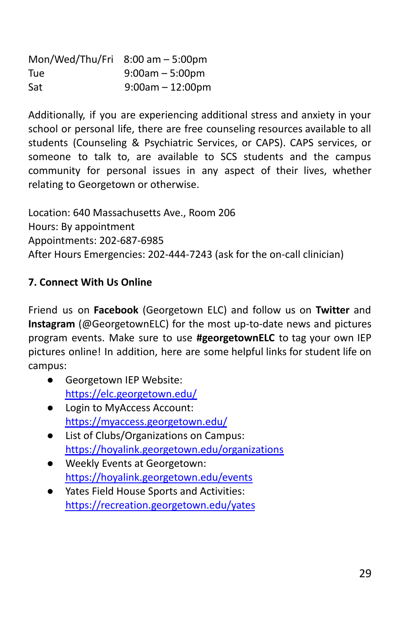| Mon/Wed/Thu/Fri $8:00$ am $-5:00$ pm |                    |
|--------------------------------------|--------------------|
| Tue                                  | $9:00am - 5:00pm$  |
| Sat                                  | $9:00am - 12:00pm$ |

Additionally, if you are experiencing additional stress and anxiety in your school or personal life, there are free counseling resources available to all students (Counseling & Psychiatric Services, or CAPS). CAPS services, or someone to talk to, are available to SCS students and the campus community for personal issues in any aspect of their lives, whether relating to Georgetown or otherwise.

Location: 640 Massachusetts Ave., Room 206 Hours: By appointment Appointments: 202-687-6985 After Hours Emergencies: 202-444-7243 (ask for the on-call clinician)

## **7. Connect With Us Online**

Friend us on **Facebook** (Georgetown ELC) and follow us on **Twitter** and **Instagram** (@GeorgetownELC) for the most up-to-date news and pictures program events. Make sure to use **#georgetownELC** to tag your own IEP pictures online! In addition, here are some helpful links for student life on campus:

- Georgetown IEP Website: <https://elc.georgetown.edu/>
- Login to MyAccess Account: <https://myaccess.georgetown.edu/>
- List of Clubs/Organizations on Campus: <https://hoyalink.georgetown.edu/organizations>
- Weekly Events at Georgetown: <https://hoyalink.georgetown.edu/events>
- Yates Field House Sports and Activities: <https://recreation.georgetown.edu/yates>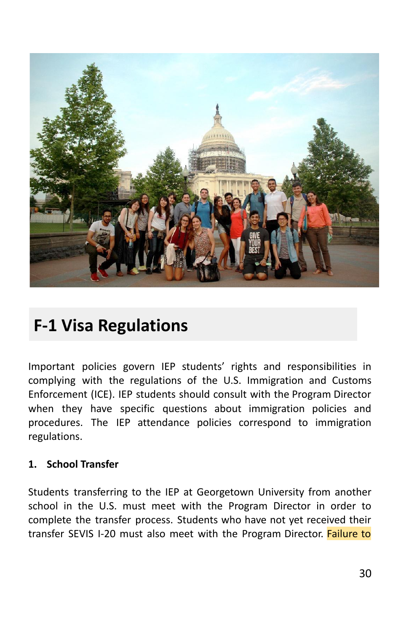

# **F-1 Visa Regulations**

Important policies govern IEP students' rights and responsibilities in complying with the regulations of the U.S. Immigration and Customs Enforcement (ICE). IEP students should consult with the Program Director when they have specific questions about immigration policies and procedures. The IEP attendance policies correspond to immigration regulations.

#### **1. School Transfer**

Students transferring to the IEP at Georgetown University from another school in the U.S. must meet with the Program Director in order to complete the transfer process. Students who have not yet received their transfer SEVIS I-20 must also meet with the Program Director. Failure to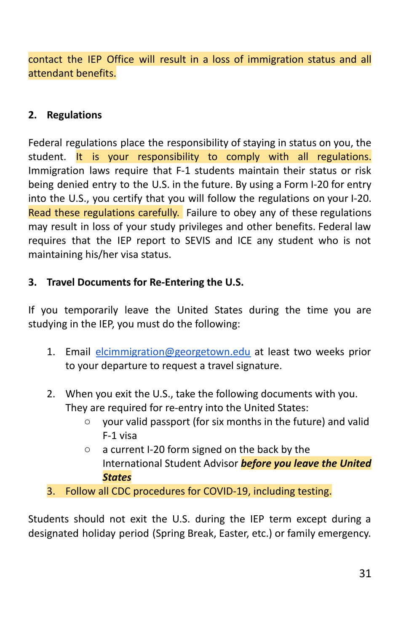contact the IEP Office will result in a loss of immigration status and all attendant benefits.

### **2. Regulations**

Federal regulations place the responsibility of staying in status on you, the student. It is your responsibility to comply with all regulations. Immigration laws require that F-1 students maintain their status or risk being denied entry to the U.S. in the future. By using a Form I-20 for entry into the U.S., you certify that you will follow the regulations on your I-20. Read these regulations carefully. Failure to obey any of these regulations may result in loss of your study privileges and other benefits. Federal law requires that the IEP report to SEVIS and ICE any student who is not maintaining his/her visa status.

## **3. Travel Documents for Re-Entering the U.S.**

If you temporarily leave the United States during the time you are studying in the IEP, you must do the following:

- 1. Email [elcimmigration@georgetown.edu](mailto:elcimmigration@georgetown.edu) at least two weeks prior to your departure to request a travel signature.
- 2. When you exit the U.S., take the following documents with you. They are required for re-entry into the United States:
	- your valid passport (for six months in the future) and valid F-1 visa
	- a current I-20 form signed on the back by the International Student Advisor *before you leave the United States*
- 3. Follow all CDC procedures for COVID-19, including testing.

Students should not exit the U.S. during the IEP term except during a designated holiday period (Spring Break, Easter, etc.) or family emergency.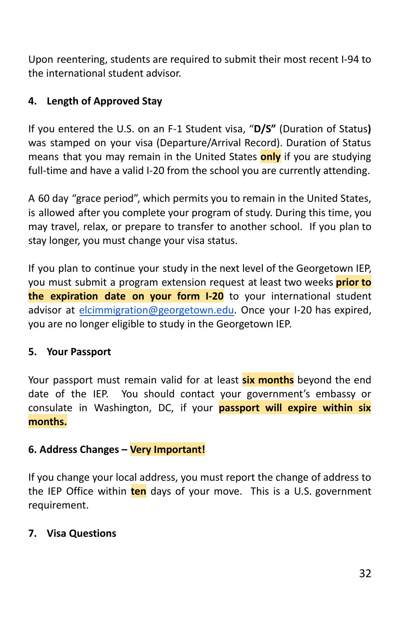Upon reentering, students are required to submit their most recent I-94 to the international student advisor.

## **4. Length of Approved Stay**

If you entered the U.S. on an F-1 Student visa, "**D/S"** (Duration of Status**)** was stamped on your visa (Departure/Arrival Record). Duration of Status means that you may remain in the United States **only** if you are studying full-time and have a valid I-20 from the school you are currently attending.

A 60 day "grace period", which permits you to remain in the United States, is allowed after you complete your program of study. During this time, you may travel, relax, or prepare to transfer to another school. If you plan to stay longer, you must change your visa status.

If you plan to continue your study in the next level of the Georgetown IEP, you must submit a program extension request at least two weeks **prior to the expiration date on your form I-20** to your international student advisor at [elcimmigration@georgetown.edu.](mailto:elcimmigration@georgetown.edu) Once your I-20 has expired, you are no longer eligible to study in the Georgetown IEP.

#### **5. Your Passport**

Your passport must remain valid for at least **six months** beyond the end date of the IEP. You should contact your government's embassy or consulate in Washington, DC, if your **passport will expire within six months.**

#### **6. Address Changes – Very Important!**

If you change your local address, you must report the change of address to the IEP Office within **ten** days of your move. This is a U.S. government requirement.

#### **7. Visa Questions**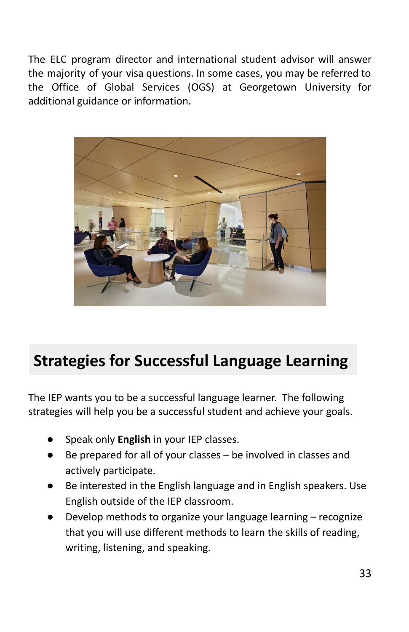The ELC program director and international student advisor will answer the majority of your visa questions. In some cases, you may be referred to the Office of Global Services (OGS) at Georgetown University for additional guidance or information.



# **Strategies for Successful Language Learning**

The IEP wants you to be a successful language learner. The following strategies will help you be a successful student and achieve your goals.

- Speak only **English** in your IEP classes.
- Be prepared for all of your classes  $-$  be involved in classes and actively participate.
- Be interested in the English language and in English speakers. Use English outside of the IEP classroom.
- Develop methods to organize your language learning  $-$  recognize that you will use different methods to learn the skills of reading, writing, listening, and speaking.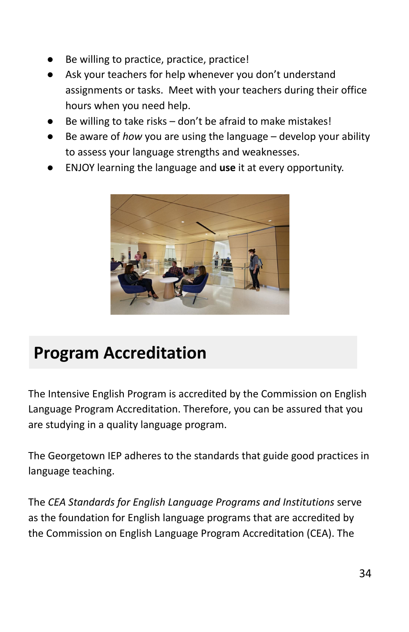- Be willing to practice, practice, practice!
- Ask your teachers for help whenever you don't understand assignments or tasks. Meet with your teachers during their office hours when you need help.
- Be willing to take risks  $-$  don't be afraid to make mistakes!
- Be aware of *how* you are using the language develop your ability to assess your language strengths and weaknesses.
- ENJOY learning the language and use it at every opportunity.



# **Program Accreditation**

The Intensive English Program is accredited by the Commission on English Language Program Accreditation. Therefore, you can be assured that you are studying in a quality language program.

The Georgetown IEP adheres to the standards that guide good practices in language teaching.

The *CEA Standards for English Language Programs and Institutions* serve as the foundation for English language programs that are accredited by the Commission on English Language Program Accreditation (CEA). The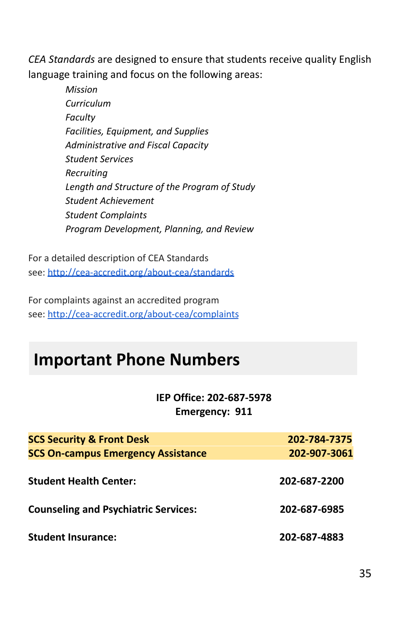*CEA Standards* are designed to ensure that students receive quality English language training and focus on the following areas:

> *Mission Curriculum Faculty Facilities, Equipment, and Supplies Administrative and Fiscal Capacity Student Services Recruiting Length and Structure of the Program of Study Student Achievement Student Complaints Program Development, Planning, and Review*

For a detailed description of CEA Standards see: <http://cea-accredit.org/about-cea/standards>

For complaints against an accredited program see: <http://cea-accredit.org/about-cea/complaints>

## **Important Phone Numbers**

**IEP Office: 202-687-5978 Emergency: 911**

| <b>SCS Security &amp; Front Desk</b>        | 202-784-7375 |
|---------------------------------------------|--------------|
| <b>SCS On-campus Emergency Assistance</b>   | 202-907-3061 |
| <b>Student Health Center:</b>               | 202-687-2200 |
| <b>Counseling and Psychiatric Services:</b> | 202-687-6985 |
| <b>Student Insurance:</b>                   | 202-687-4883 |